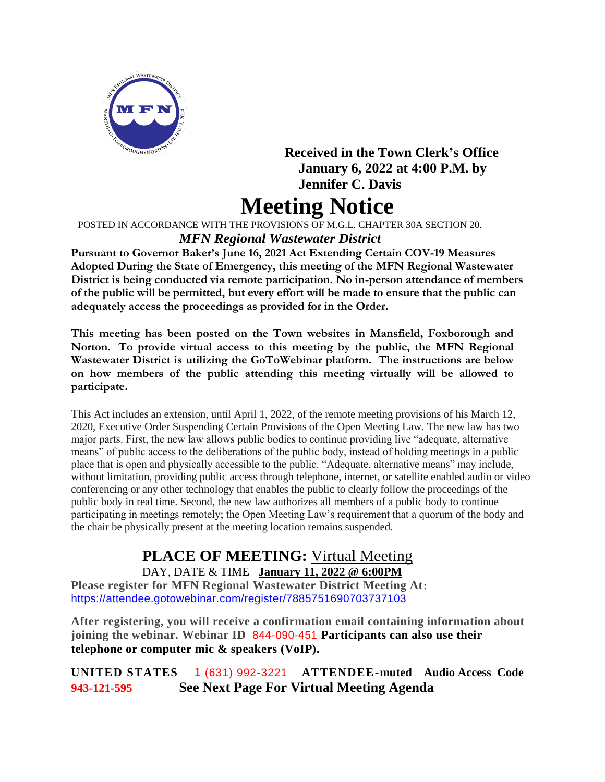

### **Received in the Town Clerk's Office January 6, 2022 at 4:00 P.M. by Jennifer C. Davis**

# **Meeting Notice**

POSTED IN ACCORDANCE WITH THE PROVISIONS OF M.G.L. CHAPTER 30A SECTION 20.

#### *MFN Regional Wastewater District*

**Pursuant to Governor Baker's June 16, 2021 Act Extending Certain COV-19 Measures Adopted During the State of Emergency, this meeting of the MFN Regional Wastewater District is being conducted via remote participation. No in-person attendance of members of the public will be permitted, but every effort will be made to ensure that the public can adequately access the proceedings as provided for in the Order.**

**This meeting has been posted on the Town websites in Mansfield, Foxborough and Norton. To provide virtual access to this meeting by the public, the MFN Regional Wastewater District is utilizing the GoToWebinar platform. The instructions are below on how members of the public attending this meeting virtually will be allowed to participate.**

This Act includes an extension, until April 1, 2022, of the remote meeting provisions of his March 12, 2020, Executive Order Suspending Certain Provisions of the Open Meeting Law. The new law has two major parts. First, the new law allows public bodies to continue providing live "adequate, alternative means" of public access to the deliberations of the public body, instead of holding meetings in a public place that is open and physically accessible to the public. "Adequate, alternative means" may include, without limitation, providing public access through telephone, internet, or satellite enabled audio or video conferencing or any other technology that enables the public to clearly follow the proceedings of the public body in real time. Second, the new law authorizes all members of a public body to continue participating in meetings remotely; the Open Meeting Law's requirement that a quorum of the body and the chair be physically present at the meeting location remains suspended.

## **PLACE OF MEETING:** Virtual Meeting

DAY, DATE & TIME **January 11, 2022 @ 6:00PM Please register for MFN Regional Wastewater District Meeting At:**  <https://attendee.gotowebinar.com/register/7885751690703737103>

**After registering, you will receive a confirmation email containing information about joining the webinar. Webinar ID** 844-090-451 **Participants can also use their telephone or computer mic & speakers (VoIP).**

**UNITED STATES** 1 (631) 992-3221 **ATTENDEE-muted Audio Access Code 943-121-595 See Next Page For Virtual Meeting Agenda**